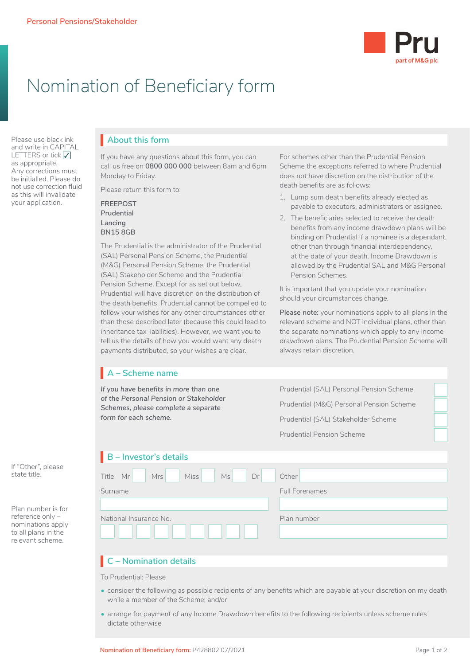

# Nomination of Beneficiary form

Please use black ink and write in CAPITAL LETTERS or tick  $\sqrt{\phantom{a}}$ as appropriate. Any corrections must be initialled. Please do not use correction fluid as this will invalidate your application.

## **About this form**

If you have any questions about this form, you can call us free on **0800 000 000** between 8am and 6pm Monday to Friday.

Please return this form to:

### **FREEPOST Prudential Lancing BN15 8GB**

The Prudential is the administrator of the Prudential (SAL) Personal Pension Scheme, the Prudential (M&G) Personal Pension Scheme, the Prudential (SAL) Stakeholder Scheme and the Prudential Pension Scheme. Except for as set out below, Prudential will have discretion on the distribution of the death benefits. Prudential cannot be compelled to follow your wishes for any other circumstances other than those described later (because this could lead to inheritance tax liabilities). However, we want you to tell us the details of how you would want any death payments distributed, so your wishes are clear.

#### For schemes other than the Prudential Pension Scheme the exceptions referred to where Prudential does not have discretion on the distribution of the death benefits are as follows:

- 1. Lump sum death benefits already elected as payable to executors, administrators or assignee.
- 2. The beneficiaries selected to receive the death benefits from any income drawdown plans will be binding on Prudential if a nominee is a dependant, other than through financial interdependency, at the date of your death. Income Drawdown is allowed by the Prudential SAL and M&G Personal Pension Schemes.

It is important that you update your nomination should your circumstances change.

**Please note:** your nominations apply to all plans in the relevant scheme and NOT individual plans, other than the separate nominations which apply to any income drawdown plans. The Prudential Pension Scheme will always retain discretion.

# **A – Scheme name**

*If you have benefits in more than one of the Personal Pension or Stakeholder Schemes, please complete a separate form for each scheme.*

Prudential (SAL) Personal Pension Scheme Prudential (M&G) Personal Pension Scheme Prudential (SAL) Stakeholder Scheme

Prudential Pension Scheme

## **B – Investor's details**

| Miss Ms<br>Mrs<br>Dr<br>Other<br>Mr<br>Title |                       |
|----------------------------------------------|-----------------------|
| Surname                                      | <b>Full Forenames</b> |
|                                              |                       |
| National Insurance No.                       | Plan number           |
|                                              |                       |

# **C – Nomination details**

To Prudential: Please

- consider the following as possible recipients of any benefits which are payable at your discretion on my death while a member of the Scheme; and/or
- arrange for payment of any Income Drawdown benefits to the following recipients unless scheme rules dictate otherwise

If "Other", please state title.

Plan number is for reference only – nominations apply to all plans in the relevant scheme.